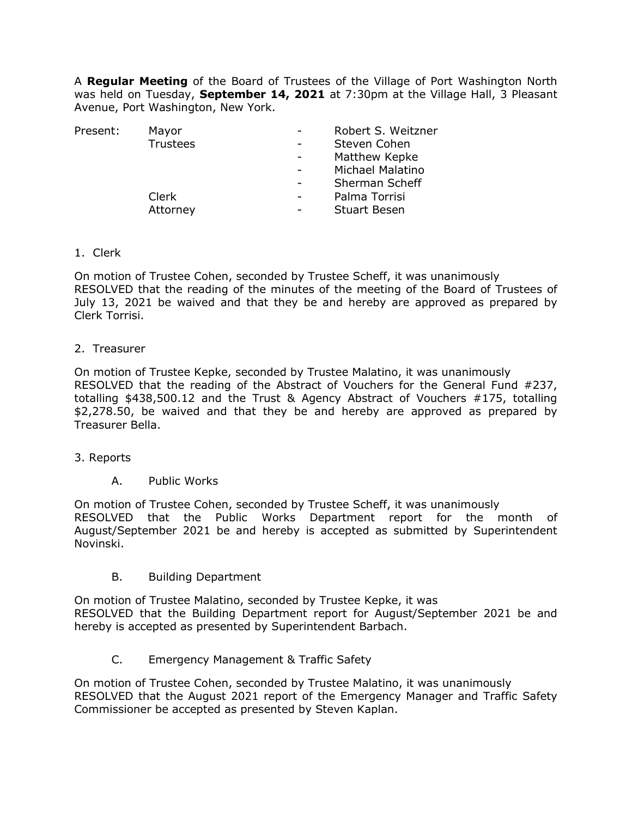A **Regular Meeting** of the Board of Trustees of the Village of Port Washington North was held on Tuesday, **September 14, 2021** at 7:30pm at the Village Hall, 3 Pleasant Avenue, Port Washington, New York.

| Present: | Mayor           |                          | Robert S. Weitzner  |
|----------|-----------------|--------------------------|---------------------|
|          | <b>Trustees</b> |                          | Steven Cohen        |
|          |                 |                          | Matthew Kepke       |
|          |                 |                          | Michael Malatino    |
|          |                 |                          | Sherman Scheff      |
|          | Clerk           | $\overline{\phantom{a}}$ | Palma Torrisi       |
|          | Attorney        |                          | <b>Stuart Besen</b> |
|          |                 |                          |                     |

1. Clerk

On motion of Trustee Cohen, seconded by Trustee Scheff, it was unanimously RESOLVED that the reading of the minutes of the meeting of the Board of Trustees of July 13, 2021 be waived and that they be and hereby are approved as prepared by Clerk Torrisi.

2. Treasurer

On motion of Trustee Kepke, seconded by Trustee Malatino, it was unanimously RESOLVED that the reading of the Abstract of Vouchers for the General Fund #237, totalling \$438,500.12 and the Trust & Agency Abstract of Vouchers #175, totalling \$2,278.50, be waived and that they be and hereby are approved as prepared by Treasurer Bella.

- 3. Reports
	- A. Public Works

On motion of Trustee Cohen, seconded by Trustee Scheff, it was unanimously RESOLVED that the Public Works Department report for the month of August/September 2021 be and hereby is accepted as submitted by Superintendent Novinski.

B. Building Department

On motion of Trustee Malatino, seconded by Trustee Kepke, it was RESOLVED that the Building Department report for August/September 2021 be and hereby is accepted as presented by Superintendent Barbach.

C. Emergency Management & Traffic Safety

On motion of Trustee Cohen, seconded by Trustee Malatino, it was unanimously RESOLVED that the August 2021 report of the Emergency Manager and Traffic Safety Commissioner be accepted as presented by Steven Kaplan.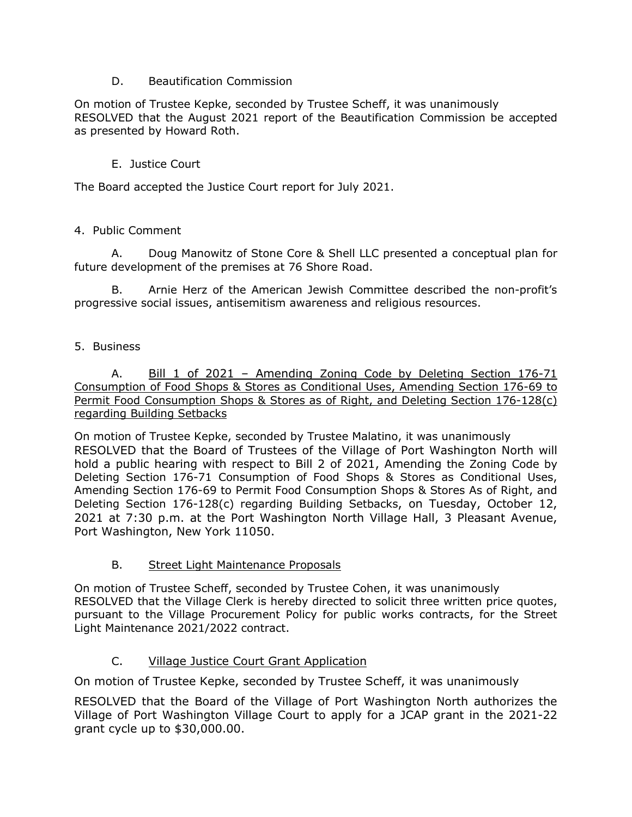### D. Beautification Commission

On motion of Trustee Kepke, seconded by Trustee Scheff, it was unanimously RESOLVED that the August 2021 report of the Beautification Commission be accepted as presented by Howard Roth.

# E. Justice Court

The Board accepted the Justice Court report for July 2021.

### 4. Public Comment

A. Doug Manowitz of Stone Core & Shell LLC presented a conceptual plan for future development of the premises at 76 Shore Road.

B. Arnie Herz of the American Jewish Committee described the non-profit's progressive social issues, antisemitism awareness and religious resources.

### 5. Business

A. Bill 1 of 2021 - Amending Zoning Code by Deleting Section 176-71 Consumption of Food Shops & Stores as Conditional Uses, Amending Section 176-69 to Permit Food Consumption Shops & Stores as of Right, and Deleting Section 176-128(c) regarding Building Setbacks

On motion of Trustee Kepke, seconded by Trustee Malatino, it was unanimously RESOLVED that the Board of Trustees of the Village of Port Washington North will hold a public hearing with respect to Bill 2 of 2021, Amending the Zoning Code by Deleting Section 176-71 Consumption of Food Shops & Stores as Conditional Uses, Amending Section 176-69 to Permit Food Consumption Shops & Stores As of Right, and Deleting Section 176-128(c) regarding Building Setbacks, on Tuesday, October 12, 2021 at 7:30 p.m. at the Port Washington North Village Hall, 3 Pleasant Avenue, Port Washington, New York 11050.

# B. Street Light Maintenance Proposals

On motion of Trustee Scheff, seconded by Trustee Cohen, it was unanimously RESOLVED that the Village Clerk is hereby directed to solicit three written price quotes, pursuant to the Village Procurement Policy for public works contracts, for the Street Light Maintenance 2021/2022 contract.

# C. Village Justice Court Grant Application

On motion of Trustee Kepke, seconded by Trustee Scheff, it was unanimously

RESOLVED that the Board of the Village of Port Washington North authorizes the Village of Port Washington Village Court to apply for a JCAP grant in the 2021-22 grant cycle up to \$30,000.00.